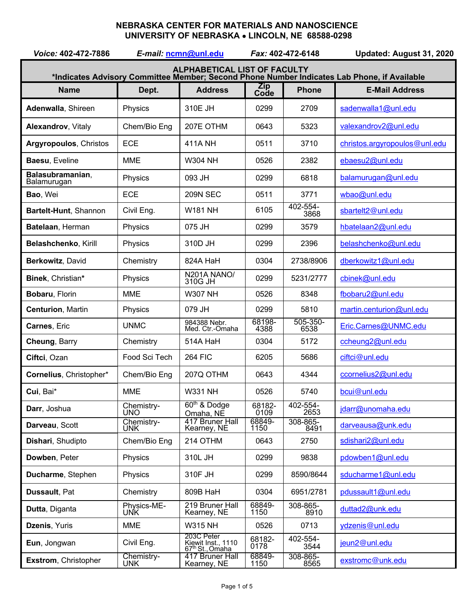## **NEBRASKA CENTER FOR MATERIALS AND NANOSCIENCE UNIVERSITY OF NEBRASKA** • **LINCOLN, NE 68588-0298**

| Voice: 402-472-7886                                                                                                                |                          | E-mail: ncmn@unl.edu                                            | Fax: 402-472-6148  |                  | Updated: August 31, 2020      |  |
|------------------------------------------------------------------------------------------------------------------------------------|--------------------------|-----------------------------------------------------------------|--------------------|------------------|-------------------------------|--|
| <b>ALPHABETICAL LIST OF FACULTY</b><br>*Indicates Advisory Committee Member; Second Phone Number Indicates Lab Phone, if Available |                          |                                                                 |                    |                  |                               |  |
| <b>Name</b>                                                                                                                        | Dept.                    | <b>Address</b>                                                  | <b>Zip</b><br>Code | <b>Phone</b>     | <b>E-Mail Address</b>         |  |
| Adenwalla, Shireen                                                                                                                 | Physics                  | 310E JH                                                         | 0299               | 2709             | sadenwalla1@unl.edu           |  |
| <b>Alexandrov, Vitaly</b>                                                                                                          | Chem/Bio Eng             | 207E OTHM                                                       | 0643               | 5323             | valexandrov2@unl.edu          |  |
| <b>Argyropoulos, Christos</b>                                                                                                      | <b>ECE</b>               | 411A NH                                                         | 0511               | 3710             | christos.argyropoulos@unl.edu |  |
| Baesu, Eveline                                                                                                                     | <b>MME</b>               | <b>W304 NH</b>                                                  | 0526               | 2382             | ebaesu2@unl.edu               |  |
| Balasubramanian,<br>Balamurugan                                                                                                    | Physics                  | 093 JH                                                          | 0299               | 6818             | balamurugan@unl.edu           |  |
| Bao, Wei                                                                                                                           | <b>ECE</b>               | <b>209N SEC</b>                                                 | 0511               | 3771             | wbao@unl.edu                  |  |
| Bartelt-Hunt, Shannon                                                                                                              | Civil Eng.               | <b>W181 NH</b>                                                  | 6105               | 402-554-<br>3868 | sbartelt2@unl.edu             |  |
| Batelaan, Herman                                                                                                                   | Physics                  | 075 JH                                                          | 0299               | 3579             | hbatelaan2@unl.edu            |  |
| Belashchenko, Kirill                                                                                                               | Physics                  | 310D JH                                                         | 0299               | 2396             | belashchenko@unl.edu          |  |
| Berkowitz, David                                                                                                                   | Chemistry                | 824A HaH                                                        | 0304               | 2738/8906        | dberkowitz1@unl.edu           |  |
| Binek, Christian*                                                                                                                  | Physics                  | N201A NANO/<br>310G JH                                          | 0299               | 5231/2777        | cbinek@unl.edu                |  |
| Bobaru, Florin                                                                                                                     | <b>MME</b>               | <b>W307 NH</b>                                                  | 0526               | 8348             | fbobaru2@unl.edu              |  |
| <b>Centurion, Martin</b>                                                                                                           | Physics                  | 079 JH                                                          | 0299               | 5810             | martin.centurion@unl.edu      |  |
| Carnes, Eric                                                                                                                       | <b>UNMC</b>              | 984388 Nebr.<br>Med. Ctr.-Omaha                                 | 68198-<br>4388     | 505-350-<br>6538 | Eric.Carnes@UNMC.edu          |  |
| Cheung, Barry                                                                                                                      | Chemistry                | 514A HaH                                                        | 0304               | 5172             | ccheung2@unl.edu              |  |
| Ciftci, Ozan                                                                                                                       | Food Sci Tech            | <b>264 FIC</b>                                                  | 6205               | 5686             | ciftci@unl.edu                |  |
| Cornelius, Christopher*                                                                                                            | Chem/Bio Eng             | 207Q OTHM                                                       | 0643               | 4344             | ccornelius2@unl.edu           |  |
| Cui, Bai*                                                                                                                          | <b>MME</b>               | <b>W331 NH</b>                                                  | 0526               | 5740             | bcui@unl.edu                  |  |
| Darr, Joshua                                                                                                                       | Chemistry-<br><b>UNO</b> | 60 <sup>th</sup> & Dodge<br>Omaha, NE                           | 68182-<br>0109     | 402-554-<br>2653 | jdarr@unomaha.edu             |  |
| Darveau, Scott                                                                                                                     | Chemistry-<br><b>UNK</b> | 417 Bruner Hall<br>Kearney, NE                                  | 68849-<br>1150     | 308-865-<br>8491 | darveausa@unk.edu             |  |
| Dishari, Shudipto                                                                                                                  | Chem/Bio Eng             | 214 OTHM                                                        | 0643               | 2750             | sdishari2@unl.edu             |  |
| Dowben, Peter                                                                                                                      | Physics                  | 310L JH                                                         | 0299               | 9838             | pdowben1@unl.edu              |  |
| Ducharme, Stephen                                                                                                                  | Physics                  | 310F JH                                                         | 0299               | 8590/8644        | sducharme1@unl.edu            |  |
| Dussault, Pat                                                                                                                      | Chemistry                | 809B HaH                                                        | 0304               | 6951/2781        | pdussault1@unl.edu            |  |
| Dutta, Diganta                                                                                                                     | Physics-ME-<br>UNK       | 219 Bruner Hall<br>Kearney, NE                                  | 68849-<br>1150     | 308-865-<br>8910 | duttad2@unk.edu               |  |
| Dzenis, Yuris                                                                                                                      | <b>MME</b>               | <b>W315 NH</b>                                                  | 0526               | 0713             | ydzenis@unl.edu               |  |
| Eun, Jongwan                                                                                                                       | Civil Eng.               | 203C Peter<br>Kiewit Inst., 1110<br>67 <sup>th</sup> St., Omaha | 68182-<br>0178     | 402-554-<br>3544 | jeun2@unl.edu                 |  |
| Exstrom, Christopher                                                                                                               | Chemistry-<br><b>UNK</b> | 417 Bruner Hall<br>Kearney, NE                                  | 68849-<br>1150     | 308-865-<br>8565 | exstromc@unk.edu              |  |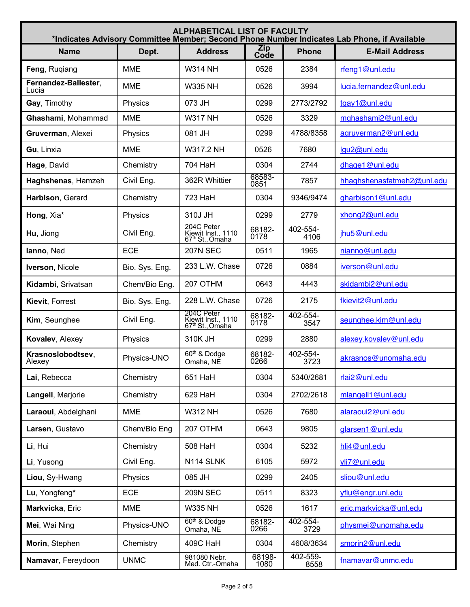| <b>ALPHABETICAL LIST OF FACULTY</b><br>*Indicates Advisory Committee Member; Second Phone Number Indicates Lab Phone, if Available |                |                                                                 |                    |                                       |                            |  |  |  |
|------------------------------------------------------------------------------------------------------------------------------------|----------------|-----------------------------------------------------------------|--------------------|---------------------------------------|----------------------------|--|--|--|
| <b>Name</b>                                                                                                                        | Dept.          | <b>Address</b>                                                  | <b>Zip</b><br>Code | <b>Phone</b><br><b>E-Mail Address</b> |                            |  |  |  |
| Feng, Rugiang                                                                                                                      | <b>MME</b>     | <b>W314 NH</b>                                                  | 0526               | 2384                                  | rfeng1@unl.edu             |  |  |  |
| Fernandez-Ballester,<br>Lucia                                                                                                      | <b>MME</b>     | <b>W335 NH</b>                                                  | 0526               | 3994                                  | lucia.fernandez@unl.edu    |  |  |  |
| Gay, Timothy                                                                                                                       | Physics        | 073 JH                                                          | 0299               | 2773/2792                             | tgay1@unl.edu              |  |  |  |
| Ghashami, Mohammad                                                                                                                 | <b>MME</b>     | <b>W317 NH</b>                                                  | 0526               | 3329                                  | mghashami2@unl.edu         |  |  |  |
| Gruverman, Alexei                                                                                                                  | Physics        | 081 JH                                                          | 0299               | 4788/8358                             | agruverman2@unl.edu        |  |  |  |
| Gu, Linxia                                                                                                                         | <b>MME</b>     | W317.2 NH                                                       | 0526               | 7680                                  | lgu2@unl.edu               |  |  |  |
| Hage, David                                                                                                                        | Chemistry      | 704 HaH                                                         | 0304               | 2744                                  | dhage1@unl.edu             |  |  |  |
| Haghshenas, Hamzeh                                                                                                                 | Civil Eng.     | 362R Whittier                                                   | 68583-<br>0851     | 7857                                  | hhaghshenasfatmeh2@unl.edu |  |  |  |
| Harbison, Gerard                                                                                                                   | Chemistry      | 723 HaH                                                         | 0304               | 9346/9474                             | gharbison1@unl.edu         |  |  |  |
| Hong, Xia*                                                                                                                         | Physics        | 310J JH                                                         | 0299               | 2779                                  | xhong2@unl.edu             |  |  |  |
| Hu, Jiong                                                                                                                          | Civil Eng.     | 204C Peter<br>Kiewit Inst., 1110<br>67 <sup>th</sup> St., Omaha | 68182-<br>0178     | 402-554-<br>4106                      | jhu5@unl.edu               |  |  |  |
| lanno, Ned                                                                                                                         | <b>ECE</b>     | <b>207N SEC</b>                                                 | 0511               | 1965                                  | nianno@unl.edu             |  |  |  |
| Iverson, Nicole                                                                                                                    | Bio. Sys. Eng. | 233 L.W. Chase                                                  | 0726               | 0884                                  | iverson@unl.edu            |  |  |  |
| Kidambi, Srivatsan                                                                                                                 | Chem/Bio Eng.  | 207 OTHM                                                        | 0643               | 4443                                  | skidambi2@unl.edu          |  |  |  |
| Kievit, Forrest                                                                                                                    | Bio. Sys. Eng. | 228 L.W. Chase                                                  | 0726               | 2175                                  | fkievit2@unl.edu           |  |  |  |
| Kim, Seunghee                                                                                                                      | Civil Eng.     | 204C Peter<br>Kiewit Inst., 1110<br>67 <sup>th</sup> St., Omaha | 68182-<br>0178     | 402-554-<br>3547                      | seunghee.kim@unl.edu       |  |  |  |
| Kovalev, Alexey                                                                                                                    | Physics        | 310K JH                                                         | 0299               | 2880                                  | alexey.kovalev@unl.edu     |  |  |  |
| Krasnoslobodtsev,<br>Alexey                                                                                                        | Physics-UNO    | 60th & Dodge<br>Omaha, NE                                       | 68182-<br>0266     | 402-554-<br>3723                      | akrasnos@unomaha.edu       |  |  |  |
| Lai, Rebecca                                                                                                                       | Chemistry      | 651 HaH                                                         | 0304               | 5340/2681                             | rlai2@unl.edu              |  |  |  |
| Langell, Marjorie                                                                                                                  | Chemistry      | 629 HaH                                                         | 0304               | 2702/2618                             | mlangell1@unl.edu          |  |  |  |
| Laraoui, Abdelghani                                                                                                                | <b>MME</b>     | <b>W312 NH</b>                                                  | 0526               | 7680                                  | alaraoui2@unl.edu          |  |  |  |
| Larsen, Gustavo                                                                                                                    | Chem/Bio Eng   | 207 OTHM                                                        | 0643               | 9805                                  | glarsen1@unl.edu           |  |  |  |
| Li, Hui                                                                                                                            | Chemistry      | 508 HaH                                                         | 0304               | 5232                                  | hli4@unl.edu               |  |  |  |
| Li, Yusong                                                                                                                         | Civil Eng.     | N114 SLNK                                                       | 6105               | 5972                                  | vli7@unl.edu               |  |  |  |
| Liou, Sy-Hwang                                                                                                                     | Physics        | 085 JH                                                          | 0299               | 2405                                  | sliou@unl.edu              |  |  |  |
| Lu, Yongfeng*                                                                                                                      | <b>ECE</b>     | <b>209N SEC</b>                                                 | 0511               | 8323                                  | yflu@engr.unl.edu          |  |  |  |
| Markvicka, Eric                                                                                                                    | <b>MME</b>     | <b>W335 NH</b>                                                  | 0526               | 1617                                  | eric.markvicka@unl.edu     |  |  |  |
| Mei, Wai Ning                                                                                                                      | Physics-UNO    | 60 <sup>th</sup> & Dodge<br>Omaha, NE                           | 68182-<br>0266     | 402-554-<br>3729                      | physmei@unomaha.edu        |  |  |  |
| Morin, Stephen                                                                                                                     | Chemistry      | 409C HaH                                                        | 0304               | 4608/3634                             | smorin2@unl.edu            |  |  |  |
| Namavar, Fereydoon                                                                                                                 | <b>UNMC</b>    | 981080 Nebr.<br>Med. Ctr.-Omaha                                 | 68198-<br>1080     | 402-559-<br>8558                      | fnamavar@unmc.edu          |  |  |  |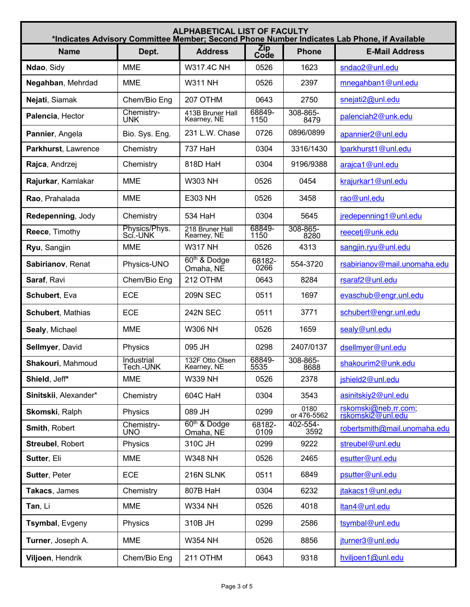| <b>ALPHABETICAL LIST OF FACULTY</b><br>*Indicates Advisory Committee Member; Second Phone Number Indicates Lab Phone, if Available |                           |                                       |                                    |                     |                                           |  |
|------------------------------------------------------------------------------------------------------------------------------------|---------------------------|---------------------------------------|------------------------------------|---------------------|-------------------------------------------|--|
| <b>Name</b>                                                                                                                        | Dept.                     | <b>Address</b>                        | <b>Zip</b><br><b>Phone</b><br>Code |                     | <b>E-Mail Address</b>                     |  |
| Ndao, Sidy                                                                                                                         | <b>MME</b>                | <b>W317.4C NH</b>                     | 0526                               | 1623                | sndao2@unl.edu                            |  |
| Negahban, Mehrdad                                                                                                                  | <b>MME</b>                | <b>W311 NH</b>                        | 0526                               | 2397                | mnegahban1@unl.edu                        |  |
| Nejati, Siamak                                                                                                                     | Chem/Bio Eng              | 207 OTHM                              | 0643                               | 2750                | snejati2@unl.edu                          |  |
| Palencia, Hector                                                                                                                   | Chemistry-<br><b>UNK</b>  | 413B Bruner Hall<br>Kearney, NE       | 68849-<br>1150                     | 308-865-<br>8479    | palenciah2@unk.edu                        |  |
| Pannier, Angela                                                                                                                    | Bio. Sys. Eng.            | 231 L.W. Chase                        | 0726                               | 0896/0899           | apannier2@unl.edu                         |  |
| Parkhurst, Lawrence                                                                                                                | Chemistry                 | 737 HaH                               | 0304                               | 3316/1430           | lparkhurst1@unl.edu                       |  |
| Rajca, Andrzej                                                                                                                     | Chemistry                 | 818D HaH                              | 0304                               | 9196/9388           | araica1@unl.edu                           |  |
| Rajurkar, Kamlakar                                                                                                                 | <b>MME</b>                | <b>W303 NH</b>                        | 0526                               | 0454                | krajurkar1@unl.edu                        |  |
| Rao, Prahalada                                                                                                                     | <b>MME</b>                | E303 NH                               | 0526                               | 3458                | rao@unl.edu                               |  |
| Redepenning, Jody                                                                                                                  | Chemistry                 | 534 HaH                               | 0304                               | 5645                | jredepenning1@unl.edu                     |  |
| Reece, Timothy                                                                                                                     | Physics/Phys.<br>Sci.-UNK | 218 Bruner Hall<br>Kearney, NE        | 68849-<br>1150                     | 308-865-<br>8280    | reecetj@unk.edu                           |  |
| Ryu, Sangjin                                                                                                                       | <b>MME</b>                | <b>W317 NH</b>                        | 0526                               | 4313                | sangjin.ryu@unl.edu                       |  |
| Sabirianov, Renat                                                                                                                  | Physics-UNO               | 60 <sup>th</sup> & Dodge<br>Omaha, NE | 68182-<br>0266                     | 554-3720            | rsabirianov@mail.unomaha.edu              |  |
| Saraf, Ravi                                                                                                                        | Chem/Bio Eng              | 212 OTHM                              | 0643                               | 8284                | rsaraf2@unl.edu                           |  |
| Schubert, Eva                                                                                                                      | <b>ECE</b>                | <b>209N SEC</b>                       | 0511                               | 1697                | evaschub@engr.unl.edu                     |  |
| <b>Schubert, Mathias</b>                                                                                                           | <b>ECE</b>                | <b>242N SEC</b>                       | 0511                               | 3771                | schubert@engr.unl.edu                     |  |
| Sealy, Michael                                                                                                                     | <b>MME</b>                | <b>W306 NH</b>                        | 0526                               | 1659                | sealy@unl.edu                             |  |
| Sellmyer, David                                                                                                                    | Physics                   | 095 JH                                | 0298                               | 2407/0137           | dsellmyer@unl.edu                         |  |
| Shakouri, Mahmoud                                                                                                                  | Industrial<br>l ech.-UNK  | 132F Otto Olsen<br>Kearney, NE        | 68849-<br>5535                     | 308-865-<br>8688    | shakourim2@unk.edu                        |  |
| Shield, Jeff*                                                                                                                      | <b>MME</b>                | <b>W339 NH</b>                        | 0526                               | 2378                | jshield2@unl.edu                          |  |
| Sinitskii, Alexander*                                                                                                              | Chemistry                 | 604C HaH                              | 0304                               | 3543                | asinitskiy2@unl.edu                       |  |
| Skomski, Ralph                                                                                                                     | Physics                   | 089 JH                                | 0299                               | 0180<br>or 476-5562 | rskomski@neb.rr.com;<br>rskomski2@unl.edu |  |
| Smith, Robert                                                                                                                      | Chemistry-<br><b>UNO</b>  | 60 <sup>th</sup> & Dodge<br>Omaha, NE | 68182-<br>0109                     | 402-554-<br>3592    | robertsmith@mail.unomaha.edu              |  |
| <b>Streubel, Robert</b>                                                                                                            | Physics                   | 310C JH                               | 0299                               | 9222                | streubel@unl.edu                          |  |
| Sutter, Eli                                                                                                                        | <b>MME</b>                | <b>W348 NH</b>                        | 0526                               | 2465                | esutter@unl.edu                           |  |
| <b>Sutter, Peter</b>                                                                                                               | <b>ECE</b>                | 216N SLNK                             | 0511                               | 6849                | psutter@unl.edu                           |  |
| Takacs, James                                                                                                                      | Chemistry                 | 807B HaH                              | 0304                               | 6232                | jtakacs1@unl.edu                          |  |
| Tan, Li                                                                                                                            | <b>MME</b>                | <b>W334 NH</b>                        | 0526                               | 4018                | ltan4@unl.edu                             |  |
| Tsymbal, Evgeny                                                                                                                    | Physics                   | 310B JH                               | 0299                               | 2586                | tsymbal@unl.edu                           |  |
| Turner, Joseph A.                                                                                                                  | <b>MME</b>                | <b>W354 NH</b>                        | 0526                               | 8856                | iturner3@unl.edu                          |  |
| Viljoen, Hendrik                                                                                                                   | Chem/Bio Eng              | 211 OTHM                              | 0643                               | 9318                | hviljoen1@unl.edu                         |  |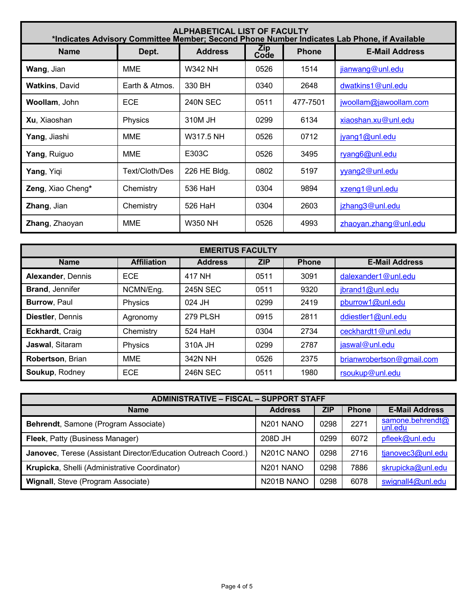| <b>ALPHABETICAL LIST OF FACULTY</b><br>*Indicates Advisory Committee Member; Second Phone Number Indicates Lab Phone, if Available |                |                 |             |              |                        |  |  |
|------------------------------------------------------------------------------------------------------------------------------------|----------------|-----------------|-------------|--------------|------------------------|--|--|
| <b>Name</b>                                                                                                                        | Dept.          | <b>Address</b>  | Zip<br>Code | <b>Phone</b> | <b>E-Mail Address</b>  |  |  |
| <b>Wang, Jian</b>                                                                                                                  | <b>MME</b>     | W342 NH         | 0526        | 1514         | jianwang@unl.edu       |  |  |
| <b>Watkins, David</b>                                                                                                              | Earth & Atmos. | 330 BH          | 0340        | 2648         | dwatkins1@unl.edu      |  |  |
| Woollam, John                                                                                                                      | <b>ECE</b>     | <b>240N SEC</b> | 0511        | 477-7501     | jwoollam@jawoollam.com |  |  |
| Xu, Xiaoshan                                                                                                                       | Physics        | 310M JH         | 0299        | 6134         | xiaoshan.xu@unl.edu    |  |  |
| Yang, Jiashi                                                                                                                       | <b>MME</b>     | W317.5 NH       | 0526        | 0712         | jyang1@unl.edu         |  |  |
| Yang, Ruiguo                                                                                                                       | <b>MME</b>     | E303C           | 0526        | 3495         | ryang6@unl.edu         |  |  |
| Yang, Yiqi                                                                                                                         | Text/Cloth/Des | 226 HE Bldg.    | 0802        | 5197         | vvang2@unl.edu         |  |  |
| Zeng, Xiao Cheng*                                                                                                                  | Chemistry      | 536 HaH         | 0304        | 9894         | xzeng1@unl.edu         |  |  |
| Zhang, Jian                                                                                                                        | Chemistry      | 526 HaH         | 0304        | 2603         | jzhang3@unl.edu        |  |  |
| <b>Zhang, Zhaoyan</b>                                                                                                              | <b>MME</b>     | <b>W350 NH</b>  | 0526        | 4993         | zhaoyan.zhang@unl.edu  |  |  |

| <b>EMERITUS FACULTY</b> |                    |                 |            |              |                           |  |  |
|-------------------------|--------------------|-----------------|------------|--------------|---------------------------|--|--|
| <b>Name</b>             | <b>Affiliation</b> | <b>Address</b>  | <b>ZIP</b> | <b>Phone</b> | <b>E-Mail Address</b>     |  |  |
| Alexander, Dennis       | <b>ECE</b>         | 417 NH          | 0511       | 3091         | dalexander1@unl.edu       |  |  |
| <b>Brand, Jennifer</b>  | NCMN/Eng.          | <b>245N SEC</b> | 0511       | 9320         | jbrand1@unl.edu           |  |  |
| Burrow, Paul            | Physics            | 024 JH          | 0299       | 2419         | pburrow1@unl.edu          |  |  |
| Diestler, Dennis        | Agronomy           | 279 PLSH        | 0915       | 2811         | ddiestler1@unl.edu        |  |  |
| Eckhardt, Craig         | Chemistry          | 524 HaH         | 0304       | 2734         | ceckhardt1@unl.edu        |  |  |
| Jaswal, Sitaram         | Physics            | 310A JH         | 0299       | 2787         | jaswal@unl.edu            |  |  |
| Robertson, Brian        | <b>MME</b>         | 342N NH         | 0526       | 2375         | brianwrobertson@gmail.com |  |  |
| Soukup, Rodney          | <b>ECE</b>         | <b>246N SEC</b> | 0511       | 1980         | rsoukup@unl.edu           |  |  |

| <b>ADMINISTRATIVE - FISCAL - SUPPORT STAFF</b>                 |                                      |      |              |                             |  |  |  |
|----------------------------------------------------------------|--------------------------------------|------|--------------|-----------------------------|--|--|--|
| <b>Name</b>                                                    | <b>ZIP</b><br><b>Address</b>         |      | <b>Phone</b> | <b>E-Mail Address</b>       |  |  |  |
| Behrendt, Samone (Program Associate)                           | N <sub>201</sub> N <sub>ANO</sub>    | 0298 | 2271         | samone.behrendt@<br>unl.edu |  |  |  |
| Fleek, Patty (Business Manager)                                | 208D JH                              | 0299 | 6072         | pfleek@unl.edu              |  |  |  |
| Janovec, Terese (Assistant Director/Education Outreach Coord.) | N <sub>201</sub> C N <sub>AN</sub> O | 0298 | 2716         | tjanovec3@unl.edu           |  |  |  |
| Krupicka, Shelli (Administrative Coordinator)                  | N <sub>201</sub> NANO                | 0298 | 7886         | skrupicka@unl.edu           |  |  |  |
| Wignall, Steve (Program Associate)                             | N <sub>201</sub> B NANO              | 0298 | 6078         | swignall4@unl.edu           |  |  |  |